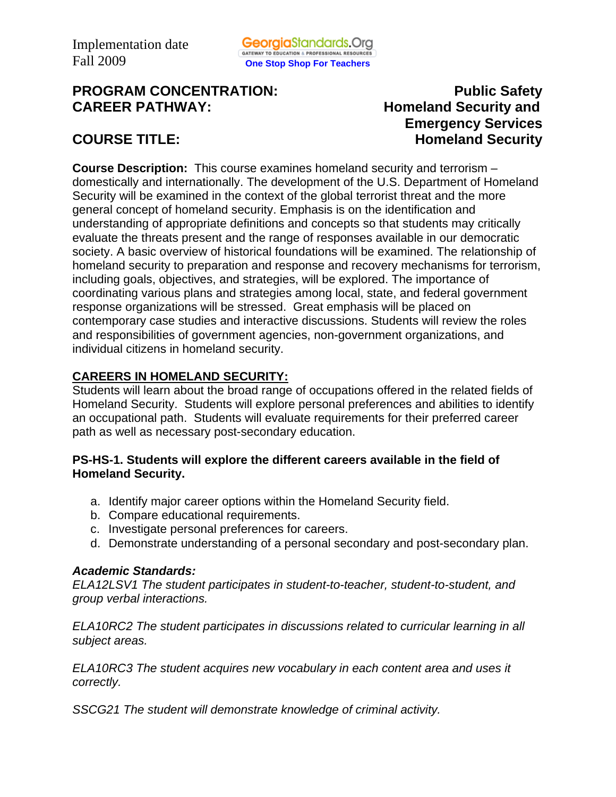# **PROGRAM CONCENTRATION:** PROGRAM **PUblic Safety CAREER PATHWAY: Homeland Security and**

 **Emergency Services COURSE TITLE: Homeland Security** 

**Course Description:** This course examines homeland security and terrorism – domestically and internationally. The development of the U.S. Department of Homeland Security will be examined in the context of the global terrorist threat and the more general concept of homeland security. Emphasis is on the identification and understanding of appropriate definitions and concepts so that students may critically evaluate the threats present and the range of responses available in our democratic society. A basic overview of historical foundations will be examined. The relationship of homeland security to preparation and response and recovery mechanisms for terrorism, including goals, objectives, and strategies, will be explored. The importance of coordinating various plans and strategies among local, state, and federal government response organizations will be stressed. Great emphasis will be placed on contemporary case studies and interactive discussions. Students will review the roles and responsibilities of government agencies, non-government organizations, and individual citizens in homeland security.

# **CAREERS IN HOMELAND SECURITY:**

Students will learn about the broad range of occupations offered in the related fields of Homeland Security. Students will explore personal preferences and abilities to identify an occupational path. Students will evaluate requirements for their preferred career path as well as necessary post-secondary education.

## **PS-HS-1. Students will explore the different careers available in the field of Homeland Security.**

- a. Identify major career options within the Homeland Security field.
- b. Compare educational requirements.
- c. Investigate personal preferences for careers.
- d. Demonstrate understanding of a personal secondary and post-secondary plan.

# *Academic Standards:*

*ELA12LSV1 The student participates in student-to-teacher, student-to-student, and group verbal interactions.* 

*ELA10RC2 The student participates in discussions related to curricular learning in all subject areas.* 

*ELA10RC3 The student acquires new vocabulary in each content area and uses it correctly.* 

*SSCG21 The student will demonstrate knowledge of criminal activity.*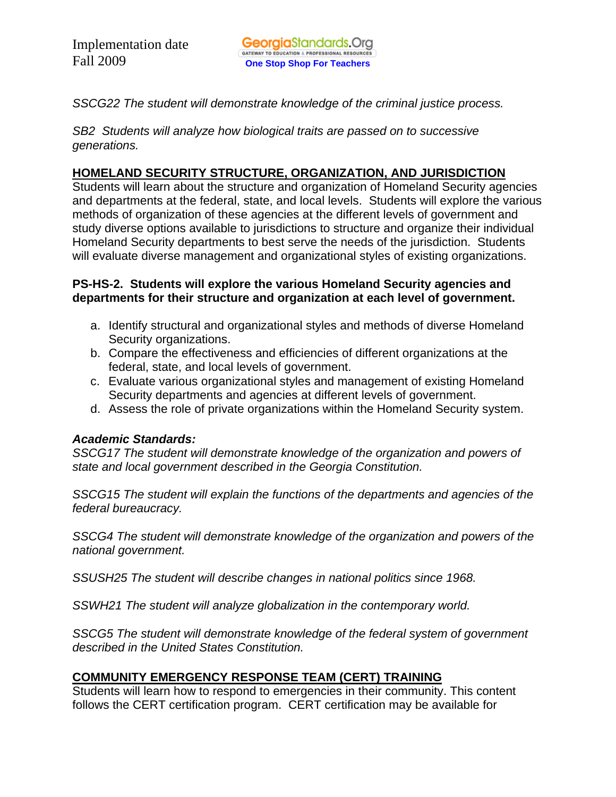*SSCG22 The student will demonstrate knowledge of the criminal justice process.* 

*SB2 Students will analyze how biological traits are passed on to successive generations.* 

# **HOMELAND SECURITY STRUCTURE, ORGANIZATION, AND JURISDICTION**

Students will learn about the structure and organization of Homeland Security agencies and departments at the federal, state, and local levels. Students will explore the various methods of organization of these agencies at the different levels of government and study diverse options available to jurisdictions to structure and organize their individual Homeland Security departments to best serve the needs of the jurisdiction. Students will evaluate diverse management and organizational styles of existing organizations.

### **PS-HS-2. Students will explore the various Homeland Security agencies and departments for their structure and organization at each level of government.**

- a. Identify structural and organizational styles and methods of diverse Homeland Security organizations.
- b. Compare the effectiveness and efficiencies of different organizations at the federal, state, and local levels of government.
- c. Evaluate various organizational styles and management of existing Homeland Security departments and agencies at different levels of government.
- d. Assess the role of private organizations within the Homeland Security system.

## *Academic Standards:*

*SSCG17 The student will demonstrate knowledge of the organization and powers of state and local government described in the Georgia Constitution.*

*SSCG15 The student will explain the functions of the departments and agencies of the federal bureaucracy.*

*SSCG4 The student will demonstrate knowledge of the organization and powers of the national government.* 

*SSUSH25 The student will describe changes in national politics since 1968.* 

*SSWH21 The student will analyze globalization in the contemporary world.* 

*SSCG5 The student will demonstrate knowledge of the federal system of government described in the United States Constitution.* 

# **COMMUNITY EMERGENCY RESPONSE TEAM (CERT) TRAINING**

Students will learn how to respond to emergencies in their community. This content follows the CERT certification program. CERT certification may be available for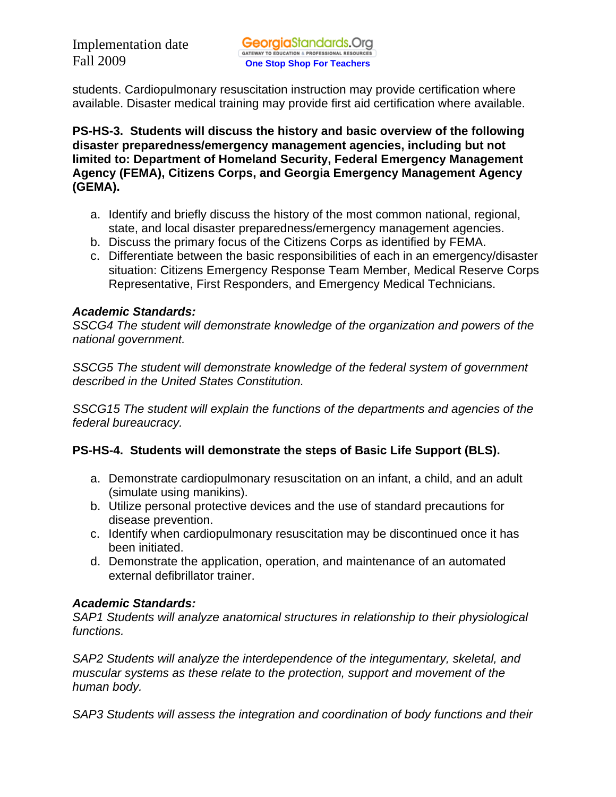students. Cardiopulmonary resuscitation instruction may provide certification where available. Disaster medical training may provide first aid certification where available.

**PS-HS-3. Students will discuss the history and basic overview of the following disaster preparedness/emergency management agencies, including but not limited to: Department of Homeland Security, Federal Emergency Management Agency (FEMA), Citizens Corps, and Georgia Emergency Management Agency (GEMA).** 

- a. Identify and briefly discuss the history of the most common national, regional, state, and local disaster preparedness/emergency management agencies.
- b. Discuss the primary focus of the Citizens Corps as identified by FEMA.
- c. Differentiate between the basic responsibilities of each in an emergency/disaster situation: Citizens Emergency Response Team Member, Medical Reserve Corps Representative, First Responders, and Emergency Medical Technicians.

# *Academic Standards:*

*SSCG4 The student will demonstrate knowledge of the organization and powers of the national government.* 

*SSCG5 The student will demonstrate knowledge of the federal system of government described in the United States Constitution.* 

*SSCG15 The student will explain the functions of the departments and agencies of the federal bureaucracy.* 

# **PS-HS-4. Students will demonstrate the steps of Basic Life Support (BLS).**

- a. Demonstrate cardiopulmonary resuscitation on an infant, a child, and an adult (simulate using manikins).
- b. Utilize personal protective devices and the use of standard precautions for disease prevention.
- c. Identify when cardiopulmonary resuscitation may be discontinued once it has been initiated.
- d. Demonstrate the application, operation, and maintenance of an automated external defibrillator trainer.

# *Academic Standards:*

*SAP1 Students will analyze anatomical structures in relationship to their physiological functions.* 

*SAP2 Students will analyze the interdependence of the integumentary, skeletal, and muscular systems as these relate to the protection, support and movement of the human body.* 

*SAP3 Students will assess the integration and coordination of body functions and their*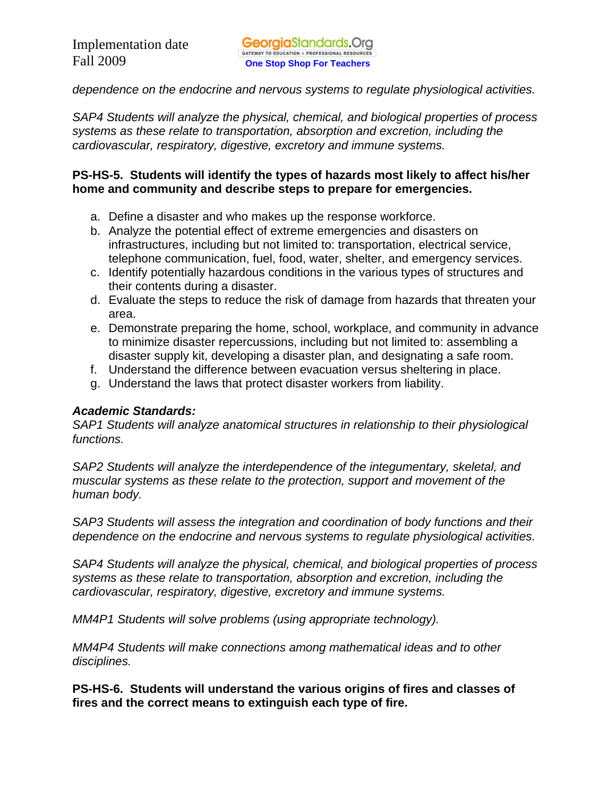*dependence on the endocrine and nervous systems to regulate physiological activities.* 

*SAP4 Students will analyze the physical, chemical, and biological properties of process systems as these relate to transportation, absorption and excretion, including the cardiovascular, respiratory, digestive, excretory and immune systems.* 

### **PS-HS-5. Students will identify the types of hazards most likely to affect his/her home and community and describe steps to prepare for emergencies.**

- a. Define a disaster and who makes up the response workforce.
- b. Analyze the potential effect of extreme emergencies and disasters on infrastructures, including but not limited to: transportation, electrical service, telephone communication, fuel, food, water, shelter, and emergency services.
- c. Identify potentially hazardous conditions in the various types of structures and their contents during a disaster.
- d. Evaluate the steps to reduce the risk of damage from hazards that threaten your area.
- e. Demonstrate preparing the home, school, workplace, and community in advance to minimize disaster repercussions, including but not limited to: assembling a disaster supply kit, developing a disaster plan, and designating a safe room.
- f. Understand the difference between evacuation versus sheltering in place.
- g. Understand the laws that protect disaster workers from liability.

## *Academic Standards:*

*SAP1 Students will analyze anatomical structures in relationship to their physiological functions.* 

*SAP2 Students will analyze the interdependence of the integumentary, skeletal, and muscular systems as these relate to the protection, support and movement of the human body.* 

*SAP3 Students will assess the integration and coordination of body functions and their dependence on the endocrine and nervous systems to regulate physiological activities.* 

*SAP4 Students will analyze the physical, chemical, and biological properties of process systems as these relate to transportation, absorption and excretion, including the cardiovascular, respiratory, digestive, excretory and immune systems.* 

*MM4P1 Students will solve problems (using appropriate technology).* 

*MM4P4 Students will make connections among mathematical ideas and to other disciplines.* 

**PS-HS-6. Students will understand the various origins of fires and classes of fires and the correct means to extinguish each type of fire.**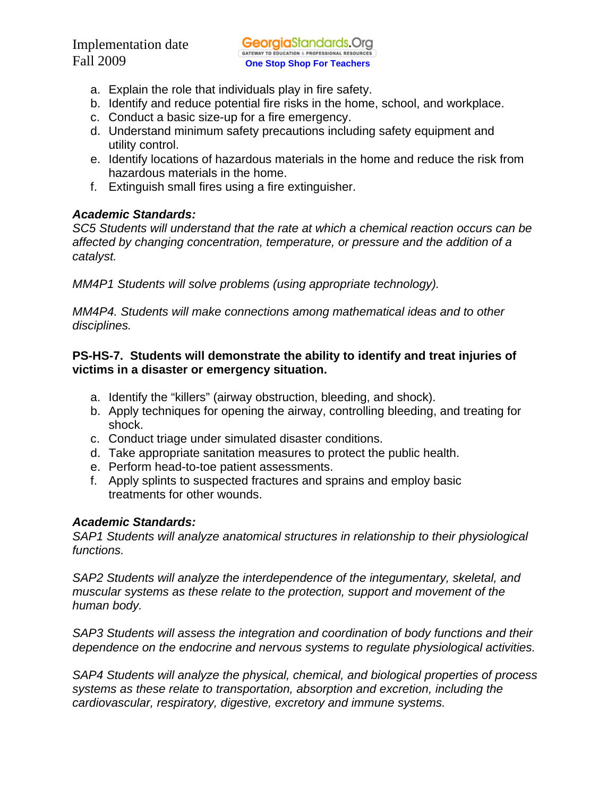- a. Explain the role that individuals play in fire safety.
- b. Identify and reduce potential fire risks in the home, school, and workplace.
- c. Conduct a basic size-up for a fire emergency.
- d. Understand minimum safety precautions including safety equipment and utility control.
- e. Identify locations of hazardous materials in the home and reduce the risk from hazardous materials in the home.
- f. Extinguish small fires using a fire extinguisher.

# *Academic Standards:*

*SC5 Students will understand that the rate at which a chemical reaction occurs can be affected by changing concentration, temperature, or pressure and the addition of a catalyst.* 

*MM4P1 Students will solve problems (using appropriate technology).* 

*MM4P4. Students will make connections among mathematical ideas and to other disciplines.* 

# **PS-HS-7. Students will demonstrate the ability to identify and treat injuries of victims in a disaster or emergency situation.**

- a. Identify the "killers" (airway obstruction, bleeding, and shock).
- b. Apply techniques for opening the airway, controlling bleeding, and treating for shock.
- c. Conduct triage under simulated disaster conditions.
- d. Take appropriate sanitation measures to protect the public health.
- e. Perform head-to-toe patient assessments.
- f. Apply splints to suspected fractures and sprains and employ basic treatments for other wounds.

# *Academic Standards:*

*SAP1 Students will analyze anatomical structures in relationship to their physiological functions.* 

*SAP2 Students will analyze the interdependence of the integumentary, skeletal, and muscular systems as these relate to the protection, support and movement of the human body.* 

*SAP3 Students will assess the integration and coordination of body functions and their dependence on the endocrine and nervous systems to regulate physiological activities.* 

*SAP4 Students will analyze the physical, chemical, and biological properties of process systems as these relate to transportation, absorption and excretion, including the cardiovascular, respiratory, digestive, excretory and immune systems.*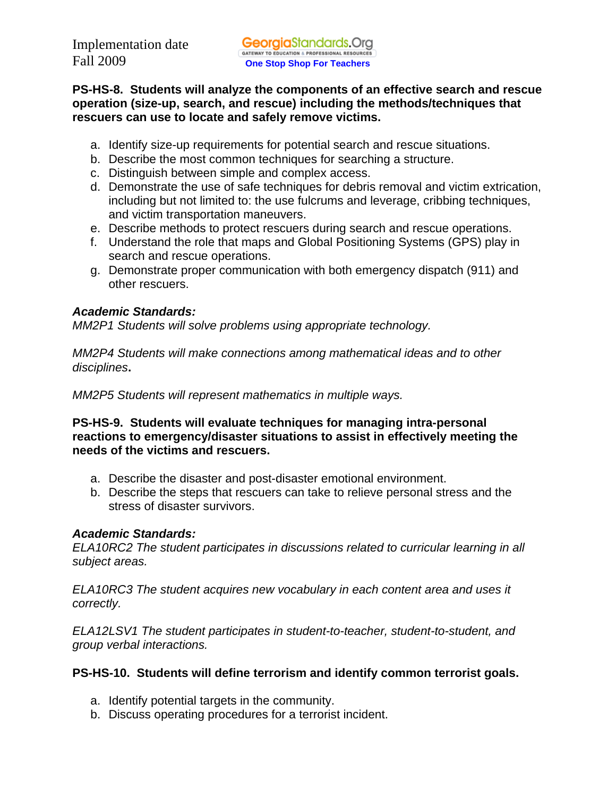**PS-HS-8. Students will analyze the components of an effective search and rescue operation (size-up, search, and rescue) including the methods/techniques that rescuers can use to locate and safely remove victims.** 

- a. Identify size-up requirements for potential search and rescue situations.
- b. Describe the most common techniques for searching a structure.
- c. Distinguish between simple and complex access.
- d. Demonstrate the use of safe techniques for debris removal and victim extrication, including but not limited to: the use fulcrums and leverage, cribbing techniques, and victim transportation maneuvers.
- e. Describe methods to protect rescuers during search and rescue operations.
- f. Understand the role that maps and Global Positioning Systems (GPS) play in search and rescue operations.
- g. Demonstrate proper communication with both emergency dispatch (911) and other rescuers.

# *Academic Standards:*

*MM2P1 Students will solve problems using appropriate technology.* 

*MM2P4 Students will make connections among mathematical ideas and to other disciplines***.** 

*MM2P5 Students will represent mathematics in multiple ways.* 

**PS-HS-9. Students will evaluate techniques for managing intra-personal reactions to emergency/disaster situations to assist in effectively meeting the needs of the victims and rescuers.** 

- a. Describe the disaster and post-disaster emotional environment.
- b. Describe the steps that rescuers can take to relieve personal stress and the stress of disaster survivors.

## *Academic Standards:*

*ELA10RC2 The student participates in discussions related to curricular learning in all subject areas.* 

*ELA10RC3 The student acquires new vocabulary in each content area and uses it correctly.* 

*ELA12LSV1 The student participates in student-to-teacher, student-to-student, and group verbal interactions.* 

# **PS-HS-10. Students will define terrorism and identify common terrorist goals.**

- a. Identify potential targets in the community.
- b. Discuss operating procedures for a terrorist incident.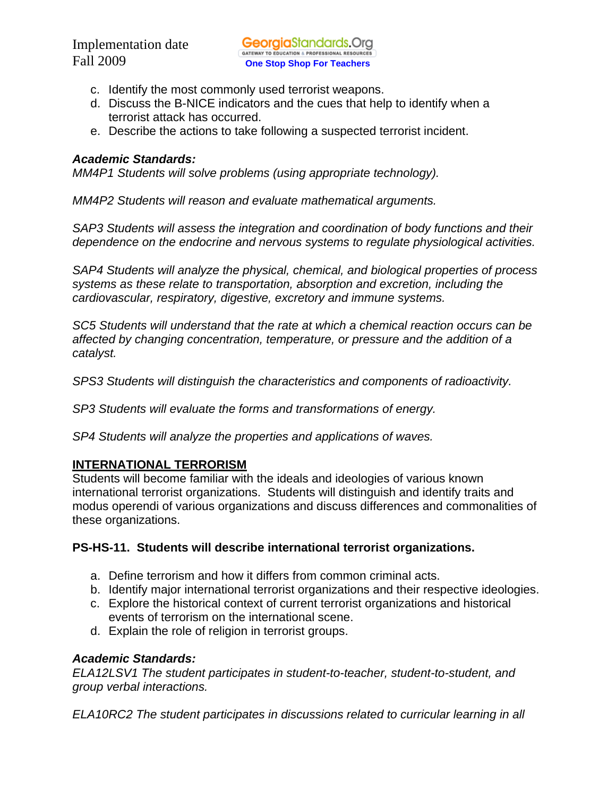- c. Identify the most commonly used terrorist weapons.
- d. Discuss the B-NICE indicators and the cues that help to identify when a terrorist attack has occurred.
- e. Describe the actions to take following a suspected terrorist incident.

#### *Academic Standards:*

*MM4P1 Students will solve problems (using appropriate technology).* 

*MM4P2 Students will reason and evaluate mathematical arguments.* 

*SAP3 Students will assess the integration and coordination of body functions and their dependence on the endocrine and nervous systems to regulate physiological activities.* 

*SAP4 Students will analyze the physical, chemical, and biological properties of process systems as these relate to transportation, absorption and excretion, including the cardiovascular, respiratory, digestive, excretory and immune systems.* 

*SC5 Students will understand that the rate at which a chemical reaction occurs can be affected by changing concentration, temperature, or pressure and the addition of a catalyst.* 

*SPS3 Students will distinguish the characteristics and components of radioactivity.* 

*SP3 Students will evaluate the forms and transformations of energy.* 

*SP4 Students will analyze the properties and applications of waves.* 

## **INTERNATIONAL TERRORISM**

Students will become familiar with the ideals and ideologies of various known international terrorist organizations. Students will distinguish and identify traits and modus operendi of various organizations and discuss differences and commonalities of these organizations.

## **PS-HS-11. Students will describe international terrorist organizations.**

- a. Define terrorism and how it differs from common criminal acts.
- b. Identify major international terrorist organizations and their respective ideologies.
- c. Explore the historical context of current terrorist organizations and historical events of terrorism on the international scene.
- d. Explain the role of religion in terrorist groups.

## *Academic Standards:*

*ELA12LSV1 The student participates in student-to-teacher, student-to-student, and group verbal interactions.* 

*ELA10RC2 The student participates in discussions related to curricular learning in all*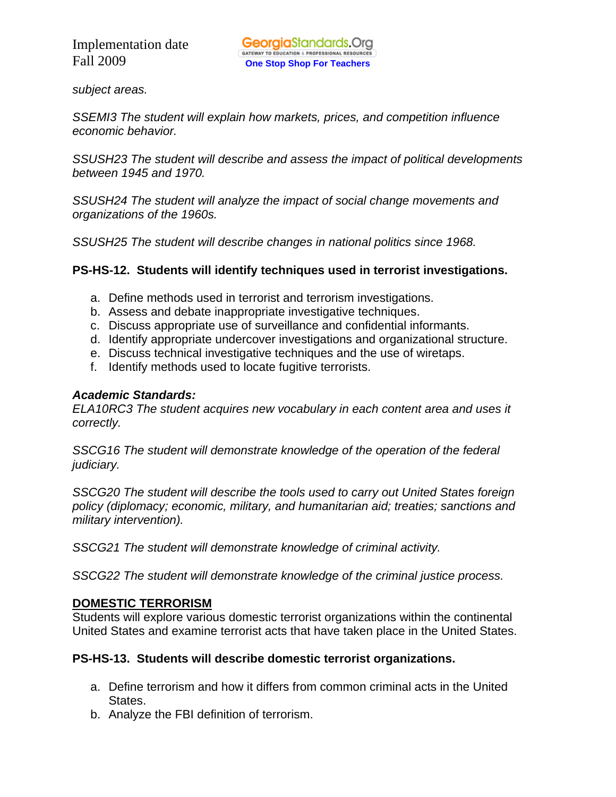*subject areas.* 

*SSEMI3 The student will explain how markets, prices, and competition influence economic behavior.* 

*SSUSH23 The student will describe and assess the impact of political developments between 1945 and 1970.* 

*SSUSH24 The student will analyze the impact of social change movements and organizations of the 1960s.* 

*SSUSH25 The student will describe changes in national politics since 1968.* 

# **PS-HS-12. Students will identify techniques used in terrorist investigations.**

- a. Define methods used in terrorist and terrorism investigations.
- b. Assess and debate inappropriate investigative techniques.
- c. Discuss appropriate use of surveillance and confidential informants.
- d. Identify appropriate undercover investigations and organizational structure.
- e. Discuss technical investigative techniques and the use of wiretaps.
- f. Identify methods used to locate fugitive terrorists.

## *Academic Standards:*

*ELA10RC3 The student acquires new vocabulary in each content area and uses it correctly.* 

*SSCG16 The student will demonstrate knowledge of the operation of the federal judiciary.* 

*SSCG20 The student will describe the tools used to carry out United States foreign policy (diplomacy; economic, military, and humanitarian aid; treaties; sanctions and military intervention).* 

*SSCG21 The student will demonstrate knowledge of criminal activity.* 

*SSCG22 The student will demonstrate knowledge of the criminal justice process.* 

# **DOMESTIC TERRORISM**

Students will explore various domestic terrorist organizations within the continental United States and examine terrorist acts that have taken place in the United States.

# **PS-HS-13. Students will describe domestic terrorist organizations.**

- a. Define terrorism and how it differs from common criminal acts in the United States.
- b. Analyze the FBI definition of terrorism.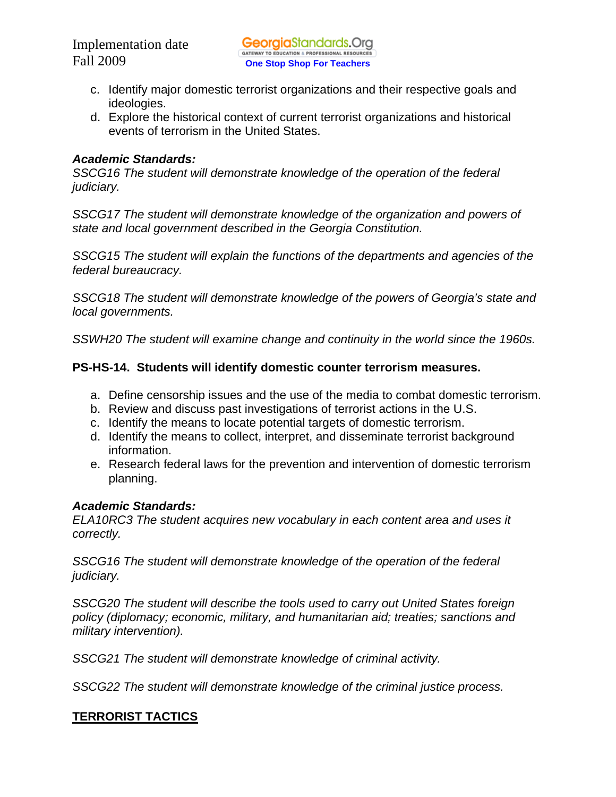- c. Identify major domestic terrorist organizations and their respective goals and ideologies.
- d. Explore the historical context of current terrorist organizations and historical events of terrorism in the United States.

## *Academic Standards:*

*SSCG16 The student will demonstrate knowledge of the operation of the federal judiciary.* 

*SSCG17 The student will demonstrate knowledge of the organization and powers of state and local government described in the Georgia Constitution.*

*SSCG15 The student will explain the functions of the departments and agencies of the federal bureaucracy.* 

*SSCG18 The student will demonstrate knowledge of the powers of Georgia's state and local governments.* 

*SSWH20 The student will examine change and continuity in the world since the 1960s.* 

# **PS-HS-14. Students will identify domestic counter terrorism measures.**

- a. Define censorship issues and the use of the media to combat domestic terrorism.
- b. Review and discuss past investigations of terrorist actions in the U.S.
- c. Identify the means to locate potential targets of domestic terrorism.
- d. Identify the means to collect, interpret, and disseminate terrorist background information.
- e. Research federal laws for the prevention and intervention of domestic terrorism planning.

# *Academic Standards:*

*ELA10RC3 The student acquires new vocabulary in each content area and uses it correctly.* 

*SSCG16 The student will demonstrate knowledge of the operation of the federal judiciary.* 

*SSCG20 The student will describe the tools used to carry out United States foreign policy (diplomacy; economic, military, and humanitarian aid; treaties; sanctions and military intervention).* 

*SSCG21 The student will demonstrate knowledge of criminal activity.* 

*SSCG22 The student will demonstrate knowledge of the criminal justice process.* 

# **TERRORIST TACTICS**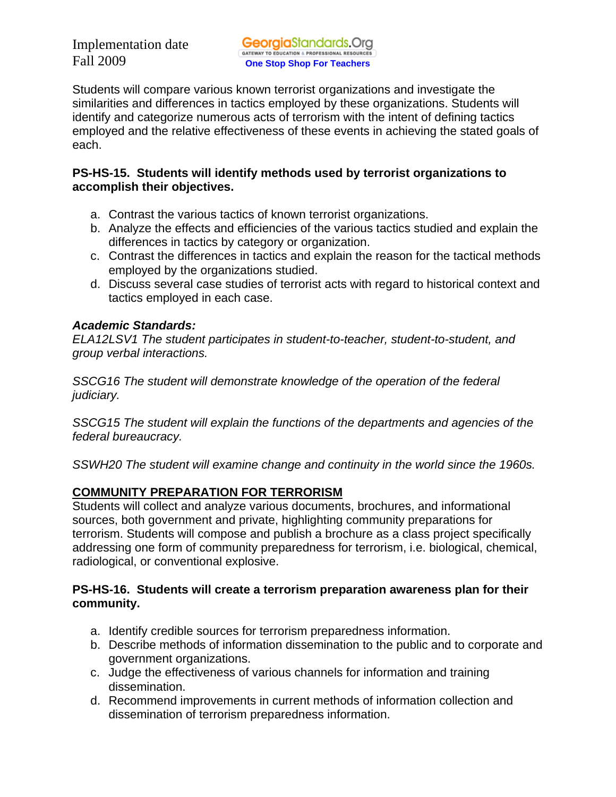Students will compare various known terrorist organizations and investigate the similarities and differences in tactics employed by these organizations. Students will identify and categorize numerous acts of terrorism with the intent of defining tactics employed and the relative effectiveness of these events in achieving the stated goals of each.

# **PS-HS-15. Students will identify methods used by terrorist organizations to accomplish their objectives.**

- a. Contrast the various tactics of known terrorist organizations.
- b. Analyze the effects and efficiencies of the various tactics studied and explain the differences in tactics by category or organization.
- c. Contrast the differences in tactics and explain the reason for the tactical methods employed by the organizations studied.
- d. Discuss several case studies of terrorist acts with regard to historical context and tactics employed in each case.

# *Academic Standards:*

*ELA12LSV1 The student participates in student-to-teacher, student-to-student, and group verbal interactions.* 

*SSCG16 The student will demonstrate knowledge of the operation of the federal judiciary.* 

*SSCG15 The student will explain the functions of the departments and agencies of the federal bureaucracy.* 

*SSWH20 The student will examine change and continuity in the world since the 1960s.* 

# **COMMUNITY PREPARATION FOR TERRORISM**

Students will collect and analyze various documents, brochures, and informational sources, both government and private, highlighting community preparations for terrorism. Students will compose and publish a brochure as a class project specifically addressing one form of community preparedness for terrorism, i.e. biological, chemical, radiological, or conventional explosive.

# **PS-HS-16. Students will create a terrorism preparation awareness plan for their community.**

- a. Identify credible sources for terrorism preparedness information.
- b. Describe methods of information dissemination to the public and to corporate and government organizations.
- c. Judge the effectiveness of various channels for information and training dissemination.
- d. Recommend improvements in current methods of information collection and dissemination of terrorism preparedness information.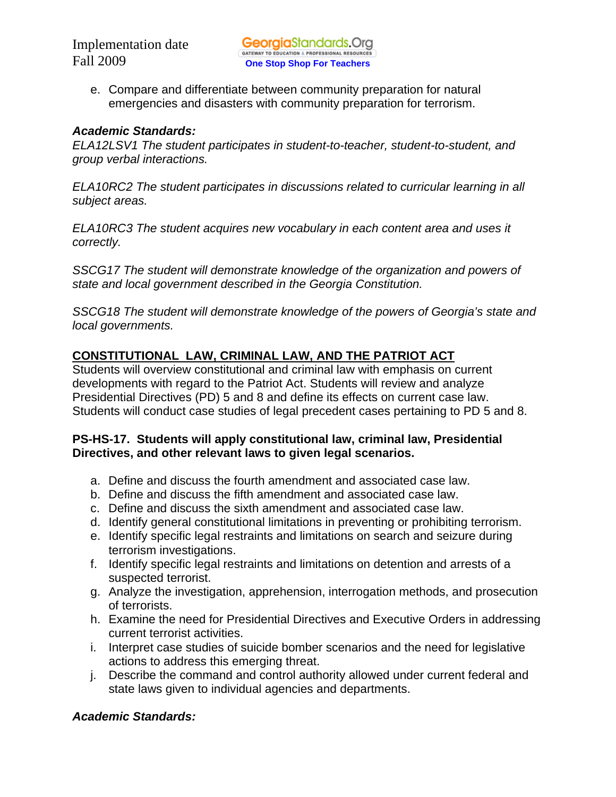e. Compare and differentiate between community preparation for natural emergencies and disasters with community preparation for terrorism.

## *Academic Standards:*

*ELA12LSV1 The student participates in student-to-teacher, student-to-student, and group verbal interactions.* 

*ELA10RC2 The student participates in discussions related to curricular learning in all subject areas.* 

*ELA10RC3 The student acquires new vocabulary in each content area and uses it correctly.* 

*SSCG17 The student will demonstrate knowledge of the organization and powers of state and local government described in the Georgia Constitution.*

*SSCG18 The student will demonstrate knowledge of the powers of Georgia's state and local governments.* 

# **CONSTITUTIONAL LAW, CRIMINAL LAW, AND THE PATRIOT ACT**

Students will overview constitutional and criminal law with emphasis on current developments with regard to the Patriot Act. Students will review and analyze Presidential Directives (PD) 5 and 8 and define its effects on current case law. Students will conduct case studies of legal precedent cases pertaining to PD 5 and 8.

# **PS-HS-17. Students will apply constitutional law, criminal law, Presidential Directives, and other relevant laws to given legal scenarios.**

- a. Define and discuss the fourth amendment and associated case law.
- b. Define and discuss the fifth amendment and associated case law.
- c. Define and discuss the sixth amendment and associated case law.
- d. Identify general constitutional limitations in preventing or prohibiting terrorism.
- e. Identify specific legal restraints and limitations on search and seizure during terrorism investigations.
- f. Identify specific legal restraints and limitations on detention and arrests of a suspected terrorist.
- g. Analyze the investigation, apprehension, interrogation methods, and prosecution of terrorists.
- h. Examine the need for Presidential Directives and Executive Orders in addressing current terrorist activities.
- i. Interpret case studies of suicide bomber scenarios and the need for legislative actions to address this emerging threat.
- j. Describe the command and control authority allowed under current federal and state laws given to individual agencies and departments.

# *Academic Standards:*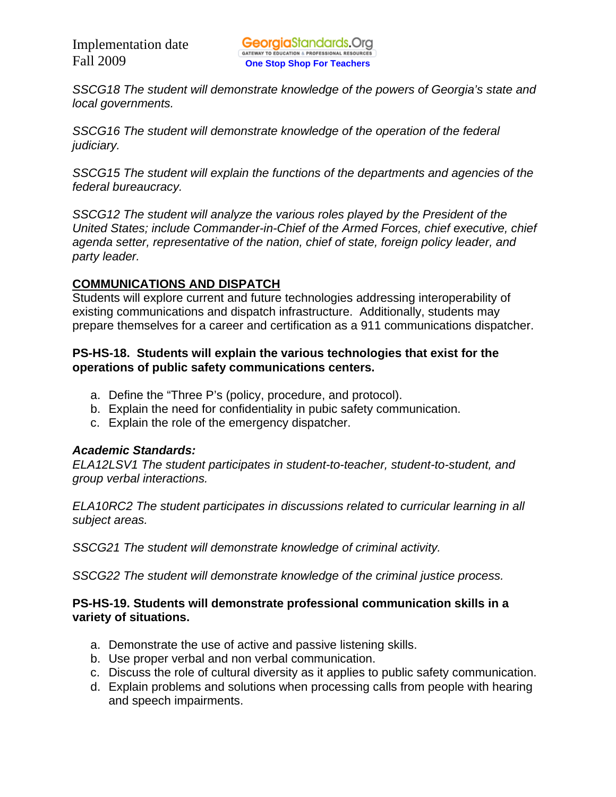*SSCG18 The student will demonstrate knowledge of the powers of Georgia's state and local governments.* 

*SSCG16 The student will demonstrate knowledge of the operation of the federal judiciary.* 

*SSCG15 The student will explain the functions of the departments and agencies of the federal bureaucracy.* 

*SSCG12 The student will analyze the various roles played by the President of the United States; include Commander-in-Chief of the Armed Forces, chief executive, chief agenda setter, representative of the nation, chief of state, foreign policy leader, and party leader.* 

# **COMMUNICATIONS AND DISPATCH**

Students will explore current and future technologies addressing interoperability of existing communications and dispatch infrastructure. Additionally, students may prepare themselves for a career and certification as a 911 communications dispatcher.

### **PS-HS-18. Students will explain the various technologies that exist for the operations of public safety communications centers.**

- a. Define the "Three P's (policy, procedure, and protocol).
- b. Explain the need for confidentiality in pubic safety communication.
- c. Explain the role of the emergency dispatcher.

#### *Academic Standards:*

*ELA12LSV1 The student participates in student-to-teacher, student-to-student, and group verbal interactions.* 

*ELA10RC2 The student participates in discussions related to curricular learning in all subject areas.* 

*SSCG21 The student will demonstrate knowledge of criminal activity.* 

*SSCG22 The student will demonstrate knowledge of the criminal justice process.* 

## **PS-HS-19. Students will demonstrate professional communication skills in a variety of situations.**

- a. Demonstrate the use of active and passive listening skills.
- b. Use proper verbal and non verbal communication.
- c. Discuss the role of cultural diversity as it applies to public safety communication.
- d. Explain problems and solutions when processing calls from people with hearing and speech impairments.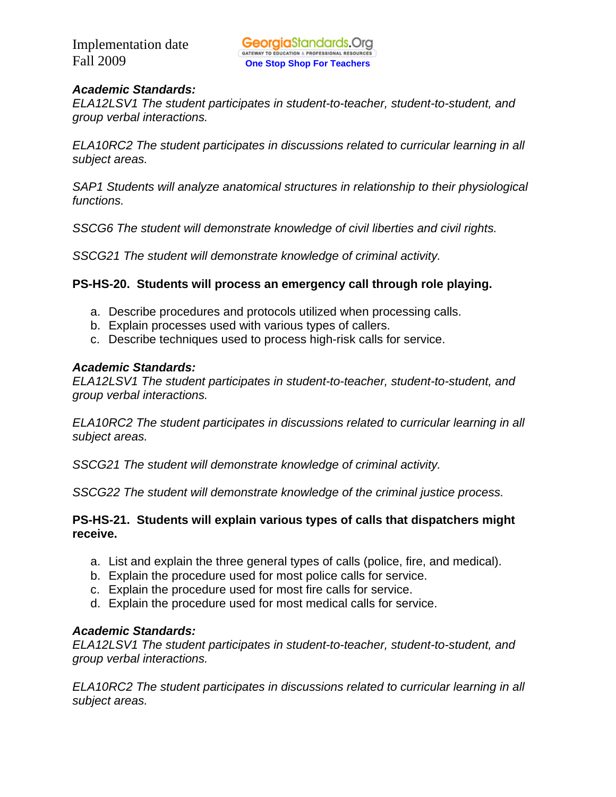## *Academic Standards:*

*ELA12LSV1 The student participates in student-to-teacher, student-to-student, and group verbal interactions.* 

*ELA10RC2 The student participates in discussions related to curricular learning in all subject areas.* 

*SAP1 Students will analyze anatomical structures in relationship to their physiological functions.*

*SSCG6 The student will demonstrate knowledge of civil liberties and civil rights.* 

*SSCG21 The student will demonstrate knowledge of criminal activity.*

## **PS-HS-20. Students will process an emergency call through role playing.**

- a. Describe procedures and protocols utilized when processing calls.
- b. Explain processes used with various types of callers.
- c. Describe techniques used to process high-risk calls for service.

#### *Academic Standards:*

*ELA12LSV1 The student participates in student-to-teacher, student-to-student, and group verbal interactions.* 

*ELA10RC2 The student participates in discussions related to curricular learning in all subject areas.* 

*SSCG21 The student will demonstrate knowledge of criminal activity.* 

*SSCG22 The student will demonstrate knowledge of the criminal justice process.* 

## **PS-HS-21. Students will explain various types of calls that dispatchers might receive.**

- a. List and explain the three general types of calls (police, fire, and medical).
- b. Explain the procedure used for most police calls for service.
- c. Explain the procedure used for most fire calls for service.
- d. Explain the procedure used for most medical calls for service.

#### *Academic Standards:*

*ELA12LSV1 The student participates in student-to-teacher, student-to-student, and group verbal interactions.* 

*ELA10RC2 The student participates in discussions related to curricular learning in all subject areas.*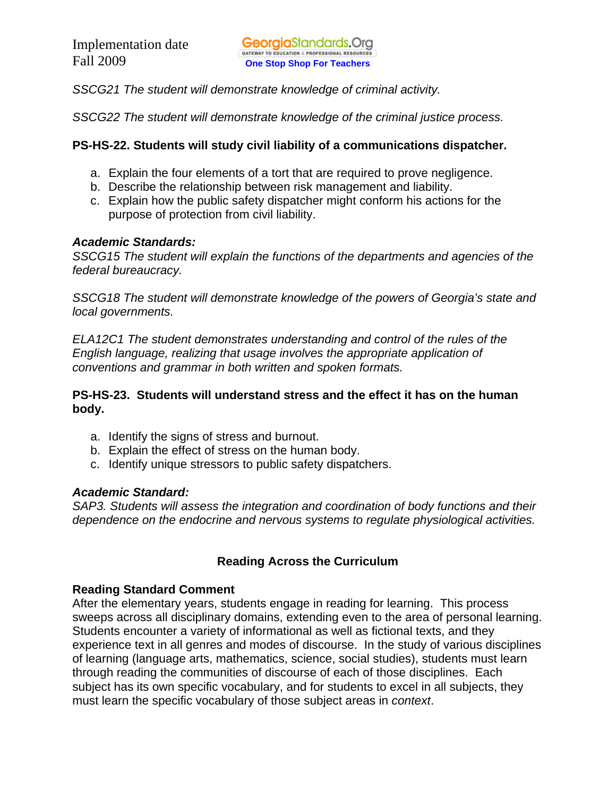*SSCG21 The student will demonstrate knowledge of criminal activity.* 

*SSCG22 The student will demonstrate knowledge of the criminal justice process.* 

## **PS-HS-22. Students will study civil liability of a communications dispatcher.**

- a. Explain the four elements of a tort that are required to prove negligence.
- b. Describe the relationship between risk management and liability.
- c. Explain how the public safety dispatcher might conform his actions for the purpose of protection from civil liability.

## *Academic Standards:*

*SSCG15 The student will explain the functions of the departments and agencies of the federal bureaucracy.* 

*SSCG18 The student will demonstrate knowledge of the powers of Georgia's state and local governments.* 

*ELA12C1 The student demonstrates understanding and control of the rules of the English language, realizing that usage involves the appropriate application of conventions and grammar in both written and spoken formats.* 

## **PS-HS-23. Students will understand stress and the effect it has on the human body.**

- a. Identify the signs of stress and burnout.
- b. Explain the effect of stress on the human body.
- c. Identify unique stressors to public safety dispatchers.

# *Academic Standard:*

*SAP3. Students will assess the integration and coordination of body functions and their dependence on the endocrine and nervous systems to regulate physiological activities.* 

# **Reading Across the Curriculum**

## **Reading Standard Comment**

After the elementary years, students engage in reading for learning. This process sweeps across all disciplinary domains, extending even to the area of personal learning. Students encounter a variety of informational as well as fictional texts, and they experience text in all genres and modes of discourse. In the study of various disciplines of learning (language arts, mathematics, science, social studies), students must learn through reading the communities of discourse of each of those disciplines. Each subject has its own specific vocabulary, and for students to excel in all subjects, they must learn the specific vocabulary of those subject areas in *context*.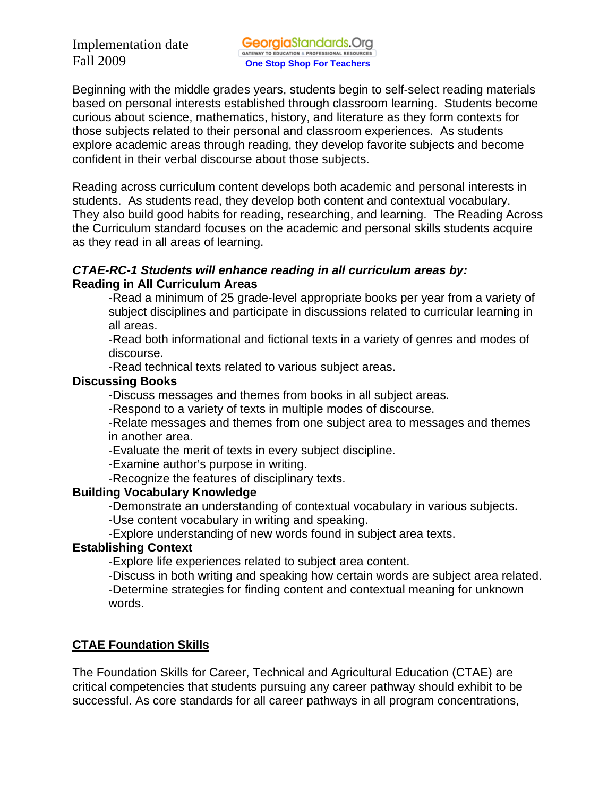Beginning with the middle grades years, students begin to self-select reading materials based on personal interests established through classroom learning. Students become curious about science, mathematics, history, and literature as they form contexts for those subjects related to their personal and classroom experiences. As students explore academic areas through reading, they develop favorite subjects and become confident in their verbal discourse about those subjects.

Reading across curriculum content develops both academic and personal interests in students. As students read, they develop both content and contextual vocabulary. They also build good habits for reading, researching, and learning. The Reading Across the Curriculum standard focuses on the academic and personal skills students acquire as they read in all areas of learning.

## *CTAE-RC-1 Students will enhance reading in all curriculum areas by:*  **Reading in All Curriculum Areas**

-Read a minimum of 25 grade-level appropriate books per year from a variety of subject disciplines and participate in discussions related to curricular learning in all areas.

-Read both informational and fictional texts in a variety of genres and modes of discourse.

-Read technical texts related to various subject areas.

#### **Discussing Books**

-Discuss messages and themes from books in all subject areas.

-Respond to a variety of texts in multiple modes of discourse.

-Relate messages and themes from one subject area to messages and themes in another area.

-Evaluate the merit of texts in every subject discipline.

-Examine author's purpose in writing.

-Recognize the features of disciplinary texts.

## **Building Vocabulary Knowledge**

-Demonstrate an understanding of contextual vocabulary in various subjects.

-Use content vocabulary in writing and speaking.

-Explore understanding of new words found in subject area texts.

## **Establishing Context**

-Explore life experiences related to subject area content.

 -Discuss in both writing and speaking how certain words are subject area related. -Determine strategies for finding content and contextual meaning for unknown

words.

# **CTAE Foundation Skills**

The Foundation Skills for Career, Technical and Agricultural Education (CTAE) are critical competencies that students pursuing any career pathway should exhibit to be successful. As core standards for all career pathways in all program concentrations,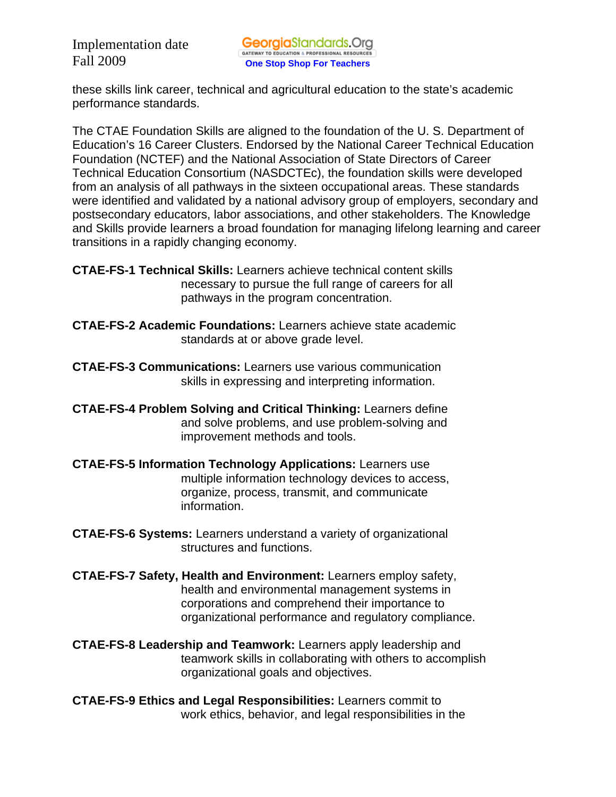these skills link career, technical and agricultural education to the state's academic performance standards.

The CTAE Foundation Skills are aligned to the foundation of the U. S. Department of Education's 16 Career Clusters. Endorsed by the National Career Technical Education Foundation (NCTEF) and the National Association of State Directors of Career Technical Education Consortium (NASDCTEc), the foundation skills were developed from an analysis of all pathways in the sixteen occupational areas. These standards were identified and validated by a national advisory group of employers, secondary and postsecondary educators, labor associations, and other stakeholders. The Knowledge and Skills provide learners a broad foundation for managing lifelong learning and career transitions in a rapidly changing economy.

**CTAE-FS-1 Technical Skills:** Learners achieve technical content skills necessary to pursue the full range of careers for all pathways in the program concentration.

- **CTAE-FS-2 Academic Foundations:** Learners achieve state academic standards at or above grade level.
- **CTAE-FS-3 Communications:** Learners use various communication skills in expressing and interpreting information.
- **CTAE-FS-4 Problem Solving and Critical Thinking:** Learners define and solve problems, and use problem-solving and improvement methods and tools.
- **CTAE-FS-5 Information Technology Applications:** Learners use multiple information technology devices to access, organize, process, transmit, and communicate information.
- **CTAE-FS-6 Systems:** Learners understand a variety of organizational structures and functions.
- **CTAE-FS-7 Safety, Health and Environment:** Learners employ safety, health and environmental management systems in corporations and comprehend their importance to organizational performance and regulatory compliance.
- **CTAE-FS-8 Leadership and Teamwork:** Learners apply leadership and teamwork skills in collaborating with others to accomplish organizational goals and objectives.
- **CTAE-FS-9 Ethics and Legal Responsibilities:** Learners commit to work ethics, behavior, and legal responsibilities in the